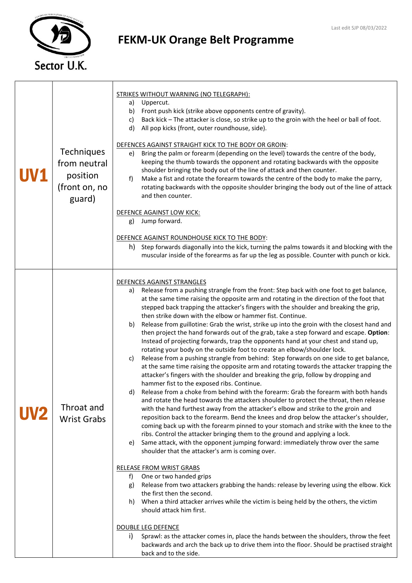

## FEKM-UK Orange Belt Programme

| Techniques<br>from neutral<br>position<br>(front on, no<br>guard) | <b>STRIKES WITHOUT WARNING (NO TELEGRAPH):</b><br>Uppercut.<br>a)<br>Front push kick (strike above opponents centre of gravity).<br>b)<br>Back kick - The attacker is close, so strike up to the groin with the heel or ball of foot.<br>c)<br>d)<br>All pop kicks (front, outer roundhouse, side).<br>DEFENCES AGAINST STRAIGHT KICK TO THE BODY OR GROIN:<br>Bring the palm or forearm (depending on the level) towards the centre of the body,<br>e)<br>keeping the thumb towards the opponent and rotating backwards with the opposite<br>shoulder bringing the body out of the line of attack and then counter.<br>f)<br>Make a fist and rotate the forearm towards the centre of the body to make the parry,<br>rotating backwards with the opposite shoulder bringing the body out of the line of attack<br>and then counter.<br>DEFENCE AGAINST LOW KICK:<br>Jump forward.<br>g)<br>DEFENCE AGAINST ROUNDHOUSE KICK TO THE BODY:<br>h) Step forwards diagonally into the kick, turning the palms towards it and blocking with the<br>muscular inside of the forearms as far up the leg as possible. Counter with punch or kick.                                                                                                                                                                                                                                                                                                                                                                                                                                                                                                                                                                                                                                                                                                                                                                                                                                                                                                                                                                                                                                                                                                                                                                                                                          |
|-------------------------------------------------------------------|------------------------------------------------------------------------------------------------------------------------------------------------------------------------------------------------------------------------------------------------------------------------------------------------------------------------------------------------------------------------------------------------------------------------------------------------------------------------------------------------------------------------------------------------------------------------------------------------------------------------------------------------------------------------------------------------------------------------------------------------------------------------------------------------------------------------------------------------------------------------------------------------------------------------------------------------------------------------------------------------------------------------------------------------------------------------------------------------------------------------------------------------------------------------------------------------------------------------------------------------------------------------------------------------------------------------------------------------------------------------------------------------------------------------------------------------------------------------------------------------------------------------------------------------------------------------------------------------------------------------------------------------------------------------------------------------------------------------------------------------------------------------------------------------------------------------------------------------------------------------------------------------------------------------------------------------------------------------------------------------------------------------------------------------------------------------------------------------------------------------------------------------------------------------------------------------------------------------------------------------------------------------------------------------------------------------------------------------------------------|
| Throat and<br><b>Wrist Grabs</b>                                  | DEFENCES AGAINST STRANGLES<br>Release from a pushing strangle from the front: Step back with one foot to get balance,<br>a)<br>at the same time raising the opposite arm and rotating in the direction of the foot that<br>stepped back trapping the attacker's fingers with the shoulder and breaking the grip,<br>then strike down with the elbow or hammer fist. Continue.<br>Release from guillotine: Grab the wrist, strike up into the groin with the closest hand and<br>b)<br>then project the hand forwards out of the grab, take a step forward and escape. Option:<br>Instead of projecting forwards, trap the opponents hand at your chest and stand up,<br>rotating your body on the outside foot to create an elbow/shoulder lock.<br>Release from a pushing strangle from behind: Step forwards on one side to get balance,<br>c)<br>at the same time raising the opposite arm and rotating towards the attacker trapping the<br>attacker's fingers with the shoulder and breaking the grip, follow by dropping and<br>hammer fist to the exposed ribs. Continue.<br>Release from a choke from behind with the forearm: Grab the forearm with both hands<br>d)<br>and rotate the head towards the attackers shoulder to protect the throat, then release<br>with the hand furthest away from the attacker's elbow and strike to the groin and<br>reposition back to the forearm. Bend the knees and drop below the attacker's shoulder,<br>coming back up with the forearm pinned to your stomach and strike with the knee to the<br>ribs. Control the attacker bringing them to the ground and applying a lock.<br>Same attack, with the opponent jumping forward: immediately throw over the same<br>e)<br>shoulder that the attacker's arm is coming over.<br><b>RELEASE FROM WRIST GRABS</b><br>One or two handed grips<br>f)<br>Release from two attackers grabbing the hands: release by levering using the elbow. Kick<br>g)<br>the first then the second.<br>When a third attacker arrives while the victim is being held by the others, the victim<br>h)<br>should attack him first.<br><b>DOUBLE LEG DEFENCE</b><br>i)<br>Sprawl: as the attacker comes in, place the hands between the shoulders, throw the feet<br>backwards and arch the back up to drive them into the floor. Should be practised straight<br>back and to the side. |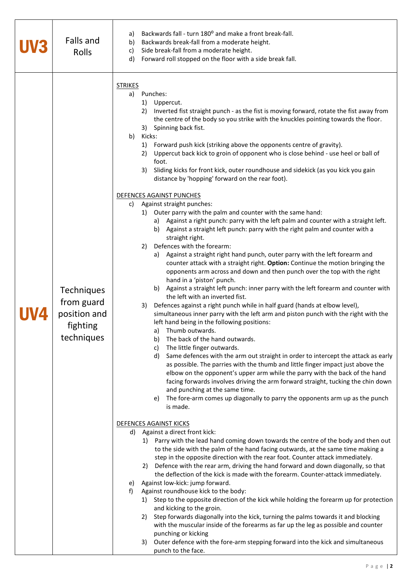| Falls and<br>Rolls                                                        | Backwards fall - turn 180° and make a front break-fall.<br>a)<br>Backwards break-fall from a moderate height.<br>b)<br>Side break-fall from a moderate height.<br>c)<br>Forward roll stopped on the floor with a side break fall.<br>d)                                                                                                                                                                                                                                                                                                                                                                                                                                                                                                                                                                                                                                                                                                                                                                                                                                                                                                                                                                                                                                                                                                                                                                                                                                                                                                                                                                                                                                                                                                                                                                                                                                                                                                                                                                                                                                                                                                                                                                                                                                                                                                                                                                                                                                                                                                                                                                                                                                                                                                                                                                                                                                                                                                                                                                                                                                                                                                                                                                                                                    |
|---------------------------------------------------------------------------|------------------------------------------------------------------------------------------------------------------------------------------------------------------------------------------------------------------------------------------------------------------------------------------------------------------------------------------------------------------------------------------------------------------------------------------------------------------------------------------------------------------------------------------------------------------------------------------------------------------------------------------------------------------------------------------------------------------------------------------------------------------------------------------------------------------------------------------------------------------------------------------------------------------------------------------------------------------------------------------------------------------------------------------------------------------------------------------------------------------------------------------------------------------------------------------------------------------------------------------------------------------------------------------------------------------------------------------------------------------------------------------------------------------------------------------------------------------------------------------------------------------------------------------------------------------------------------------------------------------------------------------------------------------------------------------------------------------------------------------------------------------------------------------------------------------------------------------------------------------------------------------------------------------------------------------------------------------------------------------------------------------------------------------------------------------------------------------------------------------------------------------------------------------------------------------------------------------------------------------------------------------------------------------------------------------------------------------------------------------------------------------------------------------------------------------------------------------------------------------------------------------------------------------------------------------------------------------------------------------------------------------------------------------------------------------------------------------------------------------------------------------------------------------------------------------------------------------------------------------------------------------------------------------------------------------------------------------------------------------------------------------------------------------------------------------------------------------------------------------------------------------------------------------------------------------------------------------------------------------------------------|
| <b>Techniques</b><br>from guard<br>position and<br>fighting<br>techniques | <b>STRIKES</b><br>Punches:<br>a)<br>1) Uppercut.<br>Inverted fist straight punch - as the fist is moving forward, rotate the fist away from<br>2)<br>the centre of the body so you strike with the knuckles pointing towards the floor.<br>3) Spinning back fist.<br>b)<br>Kicks:<br>1) Forward push kick (striking above the opponents centre of gravity).<br>Uppercut back kick to groin of opponent who is close behind - use heel or ball of<br>2)<br>foot.<br>Sliding kicks for front kick, outer roundhouse and sidekick (as you kick you gain<br>3)<br>distance by 'hopping' forward on the rear foot).<br>DEFENCES AGAINST PUNCHES<br>Against straight punches:<br>C)<br>1) Outer parry with the palm and counter with the same hand:<br>a) Against a right punch: parry with the left palm and counter with a straight left.<br>b) Against a straight left punch: parry with the right palm and counter with a<br>straight right.<br>Defences with the forearm:<br>2)<br>a) Against a straight right hand punch, outer parry with the left forearm and<br>counter attack with a straight right. Option: Continue the motion bringing the<br>opponents arm across and down and then punch over the top with the right<br>hand in a 'piston' punch.<br>b) Against a straight left punch: inner parry with the left forearm and counter with<br>the left with an inverted fist.<br>Defences against a right punch while in half guard (hands at elbow level),<br>3)<br>simultaneous inner parry with the left arm and piston punch with the right with the<br>left hand being in the following positions:<br>Thumb outwards.<br>a)<br>The back of the hand outwards.<br>b)<br>The little finger outwards.<br>C)<br>Same defences with the arm out straight in order to intercept the attack as early<br>d)<br>as possible. The parries with the thumb and little finger impact just above the<br>elbow on the opponent's upper arm while the parry with the back of the hand<br>facing forwards involves driving the arm forward straight, tucking the chin down<br>and punching at the same time.<br>The fore-arm comes up diagonally to parry the opponents arm up as the punch<br>e)<br>is made.<br><b>DEFENCES AGAINST KICKS</b><br>d) Against a direct front kick:<br>1) Parry with the lead hand coming down towards the centre of the body and then out<br>to the side with the palm of the hand facing outwards, at the same time making a<br>step in the opposite direction with the rear foot. Counter attack immediately.<br>2) Defence with the rear arm, driving the hand forward and down diagonally, so that<br>the deflection of the kick is made with the forearm. Counter-attack immediately.<br>Against low-kick: jump forward.<br>e)<br>Against roundhouse kick to the body:<br>f)<br>1) Step to the opposite direction of the kick while holding the forearm up for protection<br>and kicking to the groin.<br>2) Step forwards diagonally into the kick, turning the palms towards it and blocking<br>with the muscular inside of the forearms as far up the leg as possible and counter<br>punching or kicking<br>Outer defence with the fore-arm stepping forward into the kick and simultaneous<br>3)<br>punch to the face. |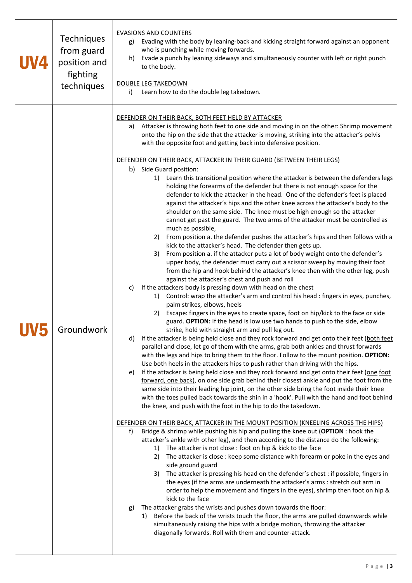| <b>Techniques</b><br>from guard<br>position and<br>fighting<br>techniques | <b>EVASIONS AND COUNTERS</b><br>Evading with the body by leaning-back and kicking straight forward against an opponent<br>g)<br>who is punching while moving forwards.<br>Evade a punch by leaning sideways and simultaneously counter with left or right punch<br>h)<br>to the body.<br><b>DOUBLE LEG TAKEDOWN</b><br>Learn how to do the double leg takedown.<br>i)                                                                                                                                                                                                                                                                                                                                                                                                                                                                                                                                                                                                                                                                                                                                                                                                                                                                                                                                                                                                                                                                                                                                                                                                                                                                                                                                                                                                                                                                                                                                                                                                                                                                                                                                                                                                                                                                                                                                                                                                                                                                                                                                                                                                                                                                                                                                                                                                                                                                                                                                                                                                                                                                                                                                                                                                                                                                                                                                                                                                                                                                                                                                                                                                                                                                                                                                                                                               |
|---------------------------------------------------------------------------|---------------------------------------------------------------------------------------------------------------------------------------------------------------------------------------------------------------------------------------------------------------------------------------------------------------------------------------------------------------------------------------------------------------------------------------------------------------------------------------------------------------------------------------------------------------------------------------------------------------------------------------------------------------------------------------------------------------------------------------------------------------------------------------------------------------------------------------------------------------------------------------------------------------------------------------------------------------------------------------------------------------------------------------------------------------------------------------------------------------------------------------------------------------------------------------------------------------------------------------------------------------------------------------------------------------------------------------------------------------------------------------------------------------------------------------------------------------------------------------------------------------------------------------------------------------------------------------------------------------------------------------------------------------------------------------------------------------------------------------------------------------------------------------------------------------------------------------------------------------------------------------------------------------------------------------------------------------------------------------------------------------------------------------------------------------------------------------------------------------------------------------------------------------------------------------------------------------------------------------------------------------------------------------------------------------------------------------------------------------------------------------------------------------------------------------------------------------------------------------------------------------------------------------------------------------------------------------------------------------------------------------------------------------------------------------------------------------------------------------------------------------------------------------------------------------------------------------------------------------------------------------------------------------------------------------------------------------------------------------------------------------------------------------------------------------------------------------------------------------------------------------------------------------------------------------------------------------------------------------------------------------------------------------------------------------------------------------------------------------------------------------------------------------------------------------------------------------------------------------------------------------------------------------------------------------------------------------------------------------------------------------------------------------------------------------------------------------------------------------------------------------------|
| Groundwork                                                                | DEFENDER ON THEIR BACK, BOTH FEET HELD BY ATTACKER<br>Attacker is throwing both feet to one side and moving in on the other: Shrimp movement<br>a)<br>onto the hip on the side that the attacker is moving, striking into the attacker's pelvis<br>with the opposite foot and getting back into defensive position.<br>DEFENDER ON THEIR BACK, ATTACKER IN THEIR GUARD (BETWEEN THEIR LEGS)<br>Side Guard position:<br>b)<br>Learn this transitional position where the attacker is between the defenders legs<br>1)<br>holding the forearms of the defender but there is not enough space for the<br>defender to kick the attacker in the head. One of the defender's feet is placed<br>against the attacker's hips and the other knee across the attacker's body to the<br>shoulder on the same side. The knee must be high enough so the attacker<br>cannot get past the guard. The two arms of the attacker must be controlled as<br>much as possible,<br>From position a. the defender pushes the attacker's hips and then follows with a<br>2)<br>kick to the attacker's head. The defender then gets up.<br>From position a. if the attacker puts a lot of body weight onto the defender's<br>3)<br>upper body, the defender must carry out a scissor sweep by moving their foot<br>from the hip and hook behind the attacker's knee then with the other leg, push<br>against the attacker's chest and push and roll<br>If the attackers body is pressing down with head on the chest<br>c)<br>1) Control: wrap the attacker's arm and control his head : fingers in eyes, punches,<br>palm strikes, elbows, heels<br>Escape: fingers in the eyes to create space, foot on hip/kick to the face or side<br>2)<br>guard. OPTION: If the head is low use two hands to push to the side, elbow<br>strike, hold with straight arm and pull leg out.<br>If the attacker is being held close and they rock forward and get onto their feet (both feet<br>d)<br>parallel and close, let go of them with the arms, grab both ankles and thrust forwards<br>with the legs and hips to bring them to the floor. Follow to the mount position. OPTION:<br>Use both heels in the attackers hips to push rather than driving with the hips.<br>If the attacker is being held close and they rock forward and get onto their feet (one foot<br>e)<br>forward, one back), on one side grab behind their closest ankle and put the foot from the<br>same side into their leading hip joint, on the other side bring the foot inside their knee<br>with the toes pulled back towards the shin in a 'hook'. Pull with the hand and foot behind<br>the knee, and push with the foot in the hip to do the takedown.<br>DEFENDER ON THEIR BACK, ATTACKER IN THE MOUNT POSITION (KNEELING ACROSS THE HIPS)<br>Bridge & shrimp while pushing his hip and pulling the knee out (OPTION : hook the<br>f)<br>attacker's ankle with other leg), and then according to the distance do the following:<br>The attacker is not close : foot on hip & kick to the face<br>1)<br>The attacker is close : keep some distance with forearm or poke in the eyes and<br>2)<br>side ground guard<br>The attacker is pressing his head on the defender's chest : if possible, fingers in<br>3)<br>the eyes (if the arms are underneath the attacker's arms : stretch out arm in<br>order to help the movement and fingers in the eyes), shrimp then foot on hip &<br>kick to the face<br>The attacker grabs the wrists and pushes down towards the floor:<br>g)<br>1) Before the back of the wrists touch the floor, the arms are pulled downwards while<br>simultaneously raising the hips with a bridge motion, throwing the attacker<br>diagonally forwards. Roll with them and counter-attack. |